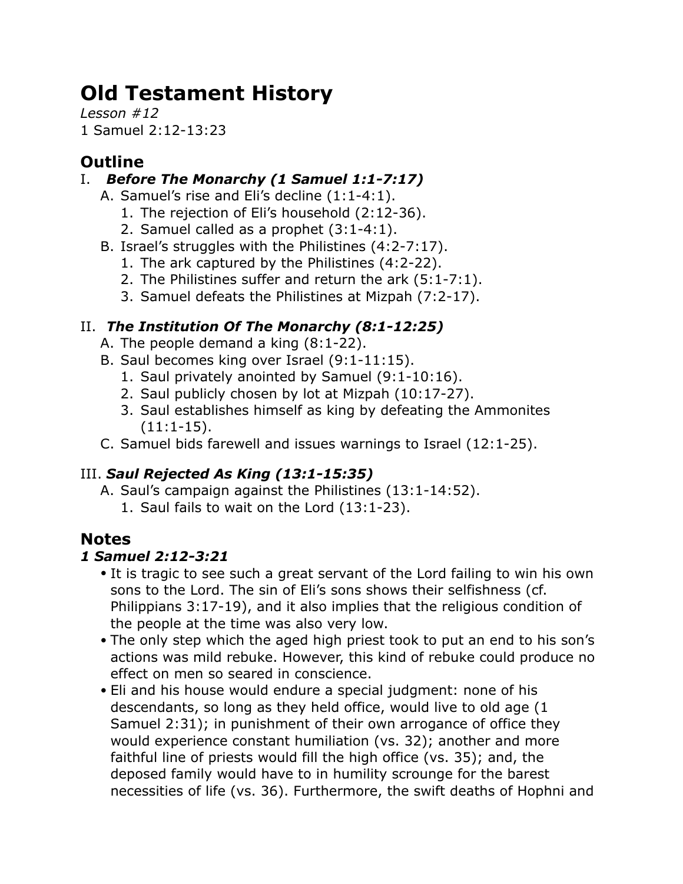# **Old Testament History**

*Lesson #12* 1 Samuel 2:12-13:23

# **Outline**

## I. *Before The Monarchy (1 Samuel 1:1-7:17)*

- A. Samuel's rise and Eli's decline (1:1-4:1).
	- 1. The rejection of Eli's household (2:12-36).
	- 2. Samuel called as a prophet (3:1-4:1).
- B. Israel's struggles with the Philistines (4:2-7:17).
	- 1. The ark captured by the Philistines (4:2-22).
	- 2. The Philistines suffer and return the ark (5:1-7:1).
	- 3. Samuel defeats the Philistines at Mizpah (7:2-17).

# II. *The Institution Of The Monarchy (8:1-12:25)*

- A. The people demand a king (8:1-22).
- B. Saul becomes king over Israel (9:1-11:15).
	- 1. Saul privately anointed by Samuel (9:1-10:16).
	- 2. Saul publicly chosen by lot at Mizpah (10:17-27).
	- 3. Saul establishes himself as king by defeating the Ammonites (11:1-15).
- C. Samuel bids farewell and issues warnings to Israel (12:1-25).

# III. *Saul Rejected As King (13:1-15:35)*

- A. Saul's campaign against the Philistines (13:1-14:52).
	- 1. Saul fails to wait on the Lord (13:1-23).

# **Notes**

## *1 Samuel 2:12-3:21*

- It is tragic to see such a great servant of the Lord failing to win his own sons to the Lord. The sin of Eli's sons shows their selfishness (cf. Philippians 3:17-19), and it also implies that the religious condition of the people at the time was also very low.
- The only step which the aged high priest took to put an end to his son's actions was mild rebuke. However, this kind of rebuke could produce no effect on men so seared in conscience.
- Eli and his house would endure a special judgment: none of his descendants, so long as they held office, would live to old age (1 Samuel 2:31); in punishment of their own arrogance of office they would experience constant humiliation (vs. 32); another and more faithful line of priests would fill the high office (vs. 35); and, the deposed family would have to in humility scrounge for the barest necessities of life (vs. 36). Furthermore, the swift deaths of Hophni and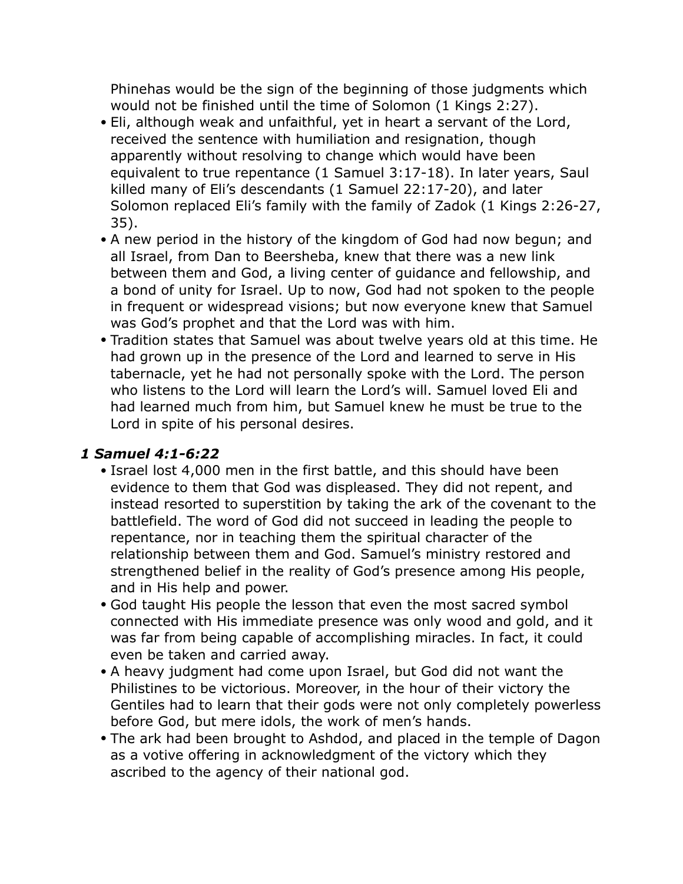Phinehas would be the sign of the beginning of those judgments which would not be finished until the time of Solomon (1 Kings 2:27).

- Eli, although weak and unfaithful, yet in heart a servant of the Lord, received the sentence with humiliation and resignation, though apparently without resolving to change which would have been equivalent to true repentance (1 Samuel 3:17-18). In later years, Saul killed many of Eli's descendants (1 Samuel 22:17-20), and later Solomon replaced Eli's family with the family of Zadok (1 Kings 2:26-27, 35).
- A new period in the history of the kingdom of God had now begun; and all Israel, from Dan to Beersheba, knew that there was a new link between them and God, a living center of guidance and fellowship, and a bond of unity for Israel. Up to now, God had not spoken to the people in frequent or widespread visions; but now everyone knew that Samuel was God's prophet and that the Lord was with him.
- Tradition states that Samuel was about twelve years old at this time. He had grown up in the presence of the Lord and learned to serve in His tabernacle, yet he had not personally spoke with the Lord. The person who listens to the Lord will learn the Lord's will. Samuel loved Eli and had learned much from him, but Samuel knew he must be true to the Lord in spite of his personal desires.

## *1 Samuel 4:1-6:22*

- Israel lost 4,000 men in the first battle, and this should have been evidence to them that God was displeased. They did not repent, and instead resorted to superstition by taking the ark of the covenant to the battlefield. The word of God did not succeed in leading the people to repentance, nor in teaching them the spiritual character of the relationship between them and God. Samuel's ministry restored and strengthened belief in the reality of God's presence among His people, and in His help and power.
- God taught His people the lesson that even the most sacred symbol connected with His immediate presence was only wood and gold, and it was far from being capable of accomplishing miracles. In fact, it could even be taken and carried away.
- A heavy judgment had come upon Israel, but God did not want the Philistines to be victorious. Moreover, in the hour of their victory the Gentiles had to learn that their gods were not only completely powerless before God, but mere idols, the work of men's hands.
- The ark had been brought to Ashdod, and placed in the temple of Dagon as a votive offering in acknowledgment of the victory which they ascribed to the agency of their national god.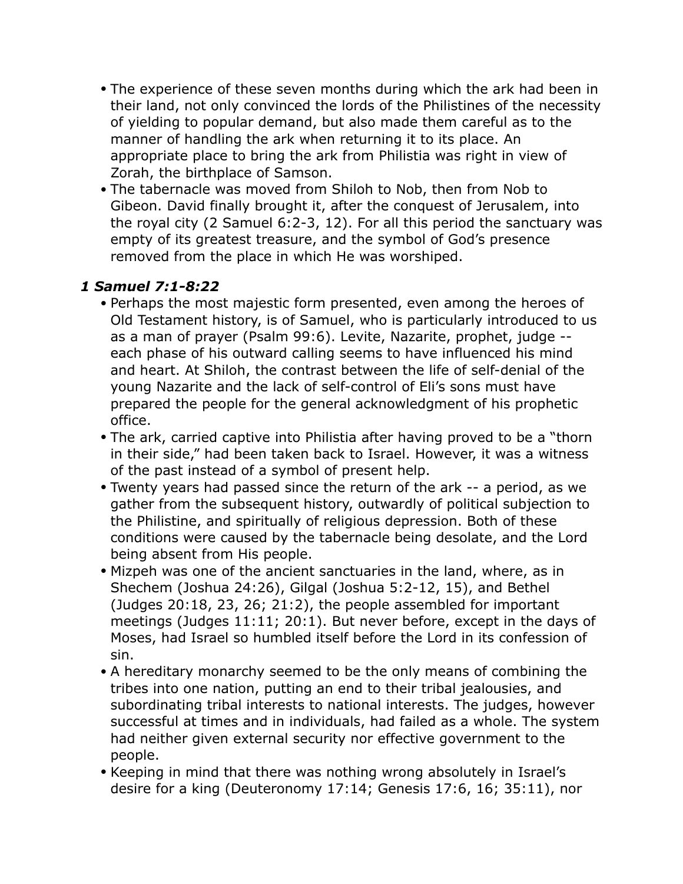- The experience of these seven months during which the ark had been in their land, not only convinced the lords of the Philistines of the necessity of yielding to popular demand, but also made them careful as to the manner of handling the ark when returning it to its place. An appropriate place to bring the ark from Philistia was right in view of Zorah, the birthplace of Samson.
- The tabernacle was moved from Shiloh to Nob, then from Nob to Gibeon. David finally brought it, after the conquest of Jerusalem, into the royal city (2 Samuel 6:2-3, 12). For all this period the sanctuary was empty of its greatest treasure, and the symbol of God's presence removed from the place in which He was worshiped.

## *1 Samuel 7:1-8:22*

- Perhaps the most majestic form presented, even among the heroes of Old Testament history, is of Samuel, who is particularly introduced to us as a man of prayer (Psalm 99:6). Levite, Nazarite, prophet, judge - each phase of his outward calling seems to have influenced his mind and heart. At Shiloh, the contrast between the life of self-denial of the young Nazarite and the lack of self-control of Eli's sons must have prepared the people for the general acknowledgment of his prophetic office.
- The ark, carried captive into Philistia after having proved to be a "thorn in their side," had been taken back to Israel. However, it was a witness of the past instead of a symbol of present help.
- Twenty years had passed since the return of the ark -- a period, as we gather from the subsequent history, outwardly of political subjection to the Philistine, and spiritually of religious depression. Both of these conditions were caused by the tabernacle being desolate, and the Lord being absent from His people.
- Mizpeh was one of the ancient sanctuaries in the land, where, as in Shechem (Joshua 24:26), Gilgal (Joshua 5:2-12, 15), and Bethel (Judges 20:18, 23, 26; 21:2), the people assembled for important meetings (Judges 11:11; 20:1). But never before, except in the days of Moses, had Israel so humbled itself before the Lord in its confession of sin.
- A hereditary monarchy seemed to be the only means of combining the tribes into one nation, putting an end to their tribal jealousies, and subordinating tribal interests to national interests. The judges, however successful at times and in individuals, had failed as a whole. The system had neither given external security nor effective government to the people.
- Keeping in mind that there was nothing wrong absolutely in Israel's desire for a king (Deuteronomy 17:14; Genesis 17:6, 16; 35:11), nor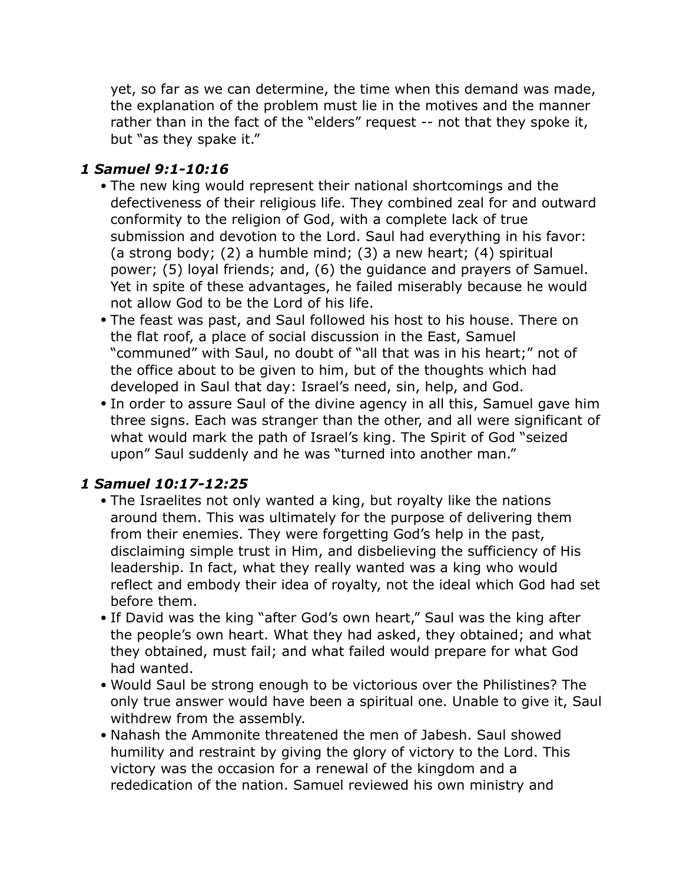yet, so far as we can determine, the time when this demand was made, the explanation of the problem must lie in the motives and the manner rather than in the fact of the "elders" request -- not that they spoke it, but "as they spake it."

#### *1 Samuel 9:1-10:16*

- The new king would represent their national shortcomings and the defectiveness of their religious life. They combined zeal for and outward conformity to the religion of God, with a complete lack of true submission and devotion to the Lord. Saul had everything in his favor: (a strong body; (2) a humble mind; (3) a new heart; (4) spiritual power; (5) loyal friends; and, (6) the guidance and prayers of Samuel. Yet in spite of these advantages, he failed miserably because he would not allow God to be the Lord of his life.
- The feast was past, and Saul followed his host to his house. There on the flat roof, a place of social discussion in the East, Samuel "communed" with Saul, no doubt of "all that was in his heart;" not of the office about to be given to him, but of the thoughts which had developed in Saul that day: Israel's need, sin, help, and God.
- In order to assure Saul of the divine agency in all this, Samuel gave him three signs. Each was stranger than the other, and all were significant of what would mark the path of Israel's king. The Spirit of God "seized upon" Saul suddenly and he was "turned into another man."

## *1 Samuel 10:17-12:25*

- The Israelites not only wanted a king, but royalty like the nations around them. This was ultimately for the purpose of delivering them from their enemies. They were forgetting God's help in the past, disclaiming simple trust in Him, and disbelieving the sufficiency of His leadership. In fact, what they really wanted was a king who would reflect and embody their idea of royalty, not the ideal which God had set before them.
- If David was the king "after God's own heart," Saul was the king after the people's own heart. What they had asked, they obtained; and what they obtained, must fail; and what failed would prepare for what God had wanted.
- Would Saul be strong enough to be victorious over the Philistines? The only true answer would have been a spiritual one. Unable to give it, Saul withdrew from the assembly.
- Nahash the Ammonite threatened the men of Jabesh. Saul showed humility and restraint by giving the glory of victory to the Lord. This victory was the occasion for a renewal of the kingdom and a rededication of the nation. Samuel reviewed his own ministry and